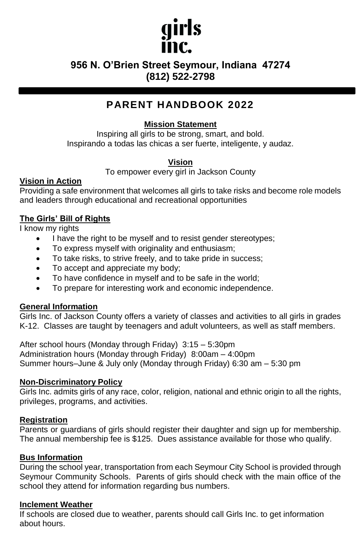# girls

# **956 N. O'Brien Street Seymour, Indiana 47274 (812) 522-2798**

# **PARENT HANDBOOK 2022**

# **Mission Statement**

Inspiring all girls to be strong, smart, and bold. Inspirando a todas las chicas a ser fuerte, inteligente, y audaz.

## **Vision**

To empower every girl in Jackson County

### **Vision in Action**

Providing a safe environment that welcomes all girls to take risks and become role models and leaders through educational and recreational opportunities

## **The Girls' Bill of Rights**

I know my rights

- I have the right to be myself and to resist gender stereotypes;
- To express myself with originality and enthusiasm;
- To take risks, to strive freely, and to take pride in success;
- To accept and appreciate my body;
- To have confidence in myself and to be safe in the world;
- To prepare for interesting work and economic independence.

#### **General Information**

Girls Inc. of Jackson County offers a variety of classes and activities to all girls in grades K-12. Classes are taught by teenagers and adult volunteers, as well as staff members.

After school hours (Monday through Friday) 3:15 – 5:30pm Administration hours (Monday through Friday) 8:00am – 4:00pm Summer hours–June & July only (Monday through Friday) 6:30 am – 5:30 pm

#### **Non-Discriminatory Policy**

Girls Inc. admits girls of any race, color, religion, national and ethnic origin to all the rights, privileges, programs, and activities.

#### **Registration**

Parents or guardians of girls should register their daughter and sign up for membership. The annual membership fee is \$125. Dues assistance available for those who qualify.

#### **Bus Information**

During the school year, transportation from each Seymour City School is provided through Seymour Community Schools. Parents of girls should check with the main office of the school they attend for information regarding bus numbers.

#### **Inclement Weather**

If schools are closed due to weather, parents should call Girls Inc. to get information about hours.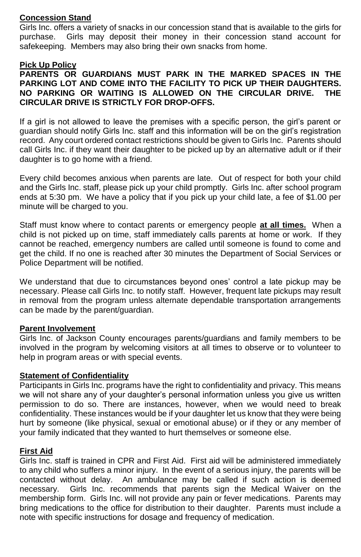#### **Concession Stand**

Girls Inc. offers a variety of snacks in our concession stand that is available to the girls for purchase. Girls may deposit their money in their concession stand account for safekeeping. Members may also bring their own snacks from home.

#### **Pick Up Policy**

**PARENTS OR GUARDIANS MUST PARK IN THE MARKED SPACES IN THE PARKING LOT AND COME INTO THE FACILITY TO PICK UP THEIR DAUGHTERS. NO PARKING OR WAITING IS ALLOWED ON THE CIRCULAR DRIVE. THE CIRCULAR DRIVE IS STRICTLY FOR DROP-OFFS.**

If a girl is not allowed to leave the premises with a specific person, the girl's parent or guardian should notify Girls Inc. staff and this information will be on the girl's registration record. Any court ordered contact restrictions should be given to Girls Inc. Parents should call Girls Inc. if they want their daughter to be picked up by an alternative adult or if their daughter is to go home with a friend.

Every child becomes anxious when parents are late. Out of respect for both your child and the Girls Inc. staff, please pick up your child promptly. Girls Inc. after school program ends at 5:30 pm. We have a policy that if you pick up your child late, a fee of \$1.00 per minute will be charged to you.

Staff must know where to contact parents or emergency people **at all times.** When a child is not picked up on time, staff immediately calls parents at home or work. If they cannot be reached, emergency numbers are called until someone is found to come and get the child. If no one is reached after 30 minutes the Department of Social Services or Police Department will be notified.

We understand that due to circumstances beyond ones' control a late pickup may be necessary. Please call Girls Inc. to notify staff. However, frequent late pickups may result in removal from the program unless alternate dependable transportation arrangements can be made by the parent/guardian.

#### **Parent Involvement**

Girls Inc. of Jackson County encourages parents/guardians and family members to be involved in the program by welcoming visitors at all times to observe or to volunteer to help in program areas or with special events.

#### **Statement of Confidentiality**

Participants in Girls Inc. programs have the right to confidentiality and privacy. This means we will not share any of your daughter's personal information unless you give us written permission to do so. There are instances, however, when we would need to break confidentiality. These instances would be if your daughter let us know that they were being hurt by someone (like physical, sexual or emotional abuse) or if they or any member of your family indicated that they wanted to hurt themselves or someone else.

#### **First Aid**

Girls Inc. staff is trained in CPR and First Aid. First aid will be administered immediately to any child who suffers a minor injury. In the event of a serious injury, the parents will be contacted without delay. An ambulance may be called if such action is deemed necessary. Girls Inc. recommends that parents sign the Medical Waiver on the membership form. Girls Inc. will not provide any pain or fever medications. Parents may bring medications to the office for distribution to their daughter. Parents must include a note with specific instructions for dosage and frequency of medication.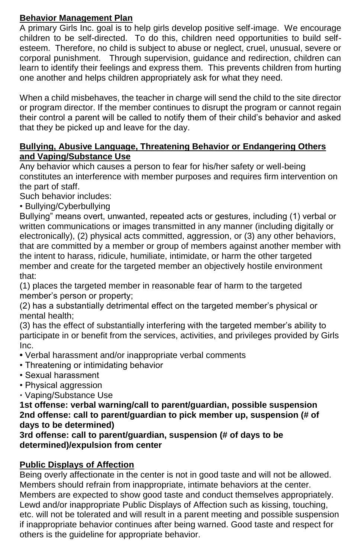# **Behavior Management Plan**

A primary Girls Inc. goal is to help girls develop positive self-image. We encourage children to be self-directed. To do this, children need opportunities to build selfesteem. Therefore, no child is subject to abuse or neglect, cruel, unusual, severe or corporal punishment. Through supervision, guidance and redirection, children can learn to identify their feelings and express them. This prevents children from hurting one another and helps children appropriately ask for what they need.

When a child misbehaves, the teacher in charge will send the child to the site director or program director. If the member continues to disrupt the program or cannot regain their control a parent will be called to notify them of their child's behavior and asked that they be picked up and leave for the day.

# **Bullying, Abusive Language, Threatening Behavior or Endangering Others and Vaping/Substance Use**

Any behavior which causes a person to fear for his/her safety or well-being constitutes an interference with member purposes and requires firm intervention on the part of staff.

Such behavior includes:

• Bullying/Cyberbullying

Bullying" means overt, unwanted, repeated acts or gestures, including (1) verbal or written communications or images transmitted in any manner (including digitally or electronically), (2) physical acts committed, aggression, or (3) any other behaviors, that are committed by a member or group of members against another member with the intent to harass, ridicule, humiliate, intimidate, or harm the other targeted member and create for the targeted member an objectively hostile environment that:

(1) places the targeted member in reasonable fear of harm to the targeted member's person or property;

(2) has a substantially detrimental effect on the targeted member's physical or mental health;

(3) has the effect of substantially interfering with the targeted member's ability to participate in or benefit from the services, activities, and privileges provided by Girls Inc.

- Verbal harassment and/or inappropriate verbal comments
- Threatening or intimidating behavior
- Sexual harassment
- Physical aggression
- Vaping/Substance Use

**1st offense: verbal warning/call to parent/guardian, possible suspension 2nd offense: call to parent/guardian to pick member up, suspension (# of days to be determined)**

**3rd offense: call to parent/guardian, suspension (# of days to be determined)/expulsion from center**

# **Public Displays of Affection**

Being overly affectionate in the center is not in good taste and will not be allowed. Members should refrain from inappropriate, intimate behaviors at the center. Members are expected to show good taste and conduct themselves appropriately. Lewd and/or inappropriate Public Displays of Affection such as kissing, touching, etc. will not be tolerated and will result in a parent meeting and possible suspension if inappropriate behavior continues after being warned. Good taste and respect for others is the guideline for appropriate behavior.